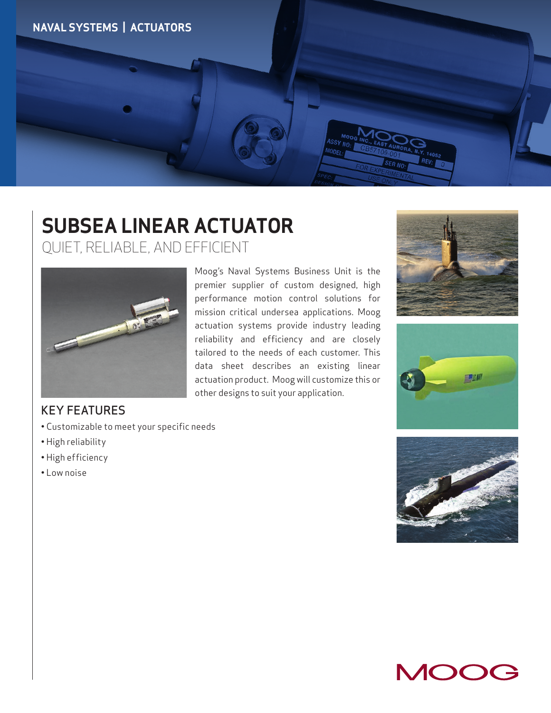

## **SUBSEA LINEAR ACTUATOR** QUIET, RELIABLE, AND EFFICIENT



KEY FEATURES

- Customizable to meet your specific needs
- High reliability
- High efficiency
- Low noise

Moog's Naval Systems Business Unit is the premier supplier of custom designed, high performance motion control solutions for mission critical undersea applications. Moog actuation systems provide industry leading reliability and efficiency and are closely tailored to the needs of each customer. This data sheet describes an existing linear actuation product. Moog will customize this or other designs to suit your application.